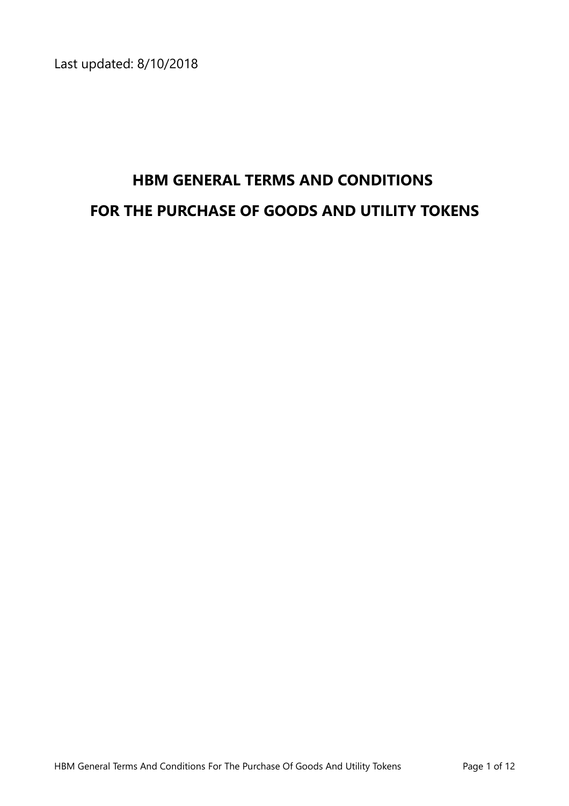Last updated: 8/10/2018

# **HBM GENERAL TERMS AND CONDITIONS FOR THE PURCHASE OF GOODS AND UTILITY TOKENS**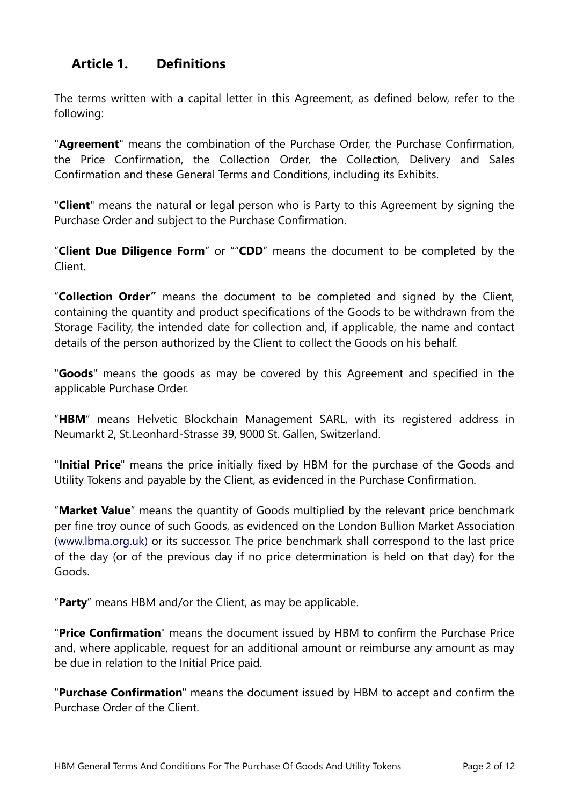# **Article 1. Definitions**

The terms written with a capital letter in this Agreement, as defined below, refer to the following:

"**Agreement**" means the combination of the Purchase Order, the Purchase Confirmation, the Price Confirmation, the Collection Order, the Collection, Delivery and Sales Confirmation and these General Terms and Conditions, including its Exhibits.

"**Client**" means the natural or legal person who is Party to this Agreement by signing the Purchase Order and subject to the Purchase Confirmation.

"**Client Due Diligence Form**" or ""**CDD**" means the document to be completed by the Client.

"**Collection Order"** means the document to be completed and signed by the Client, containing the quantity and product specifications of the Goods to be withdrawn from the Storage Facility, the intended date for collection and, if applicable, the name and contact details of the person authorized by the Client to collect the Goods on his behalf.

"**Goods**" means the goods as may be covered by this Agreement and specified in the applicable Purchase Order.

"**HBM**" means Helvetic Blockchain Management SARL, with its registered address in Neumarkt 2, St.Leonhard-Strasse 39, 9000 St. Gallen, Switzerland.

"**Initial Price**" means the price initially fixed by HBM for the purchase of the Goods and Utility Tokens and payable by the Client, as evidenced in the Purchase Confirmation.

"**Market Value**" means the quantity of Goods multiplied by the relevant price benchmark per fine troy ounce of such Goods, as evidenced on the London Bullion Market Association  [\( www.lbma.org.uk\)](http://www.lbma.org.uk/) or its successor. The price benchmark shall correspond to the last price of the day (or of the previous day if no price determination is held on that day) for the Goods.

"**Party**" means HBM and/or the Client, as may be applicable.

"**Price Confirmation**" means the document issued by HBM to confirm the Purchase Price and, where applicable, request for an additional amount or reimburse any amount as may be due in relation to the Initial Price paid.

"**Purchase Confirmation**" means the document issued by HBM to accept and confirm the Purchase Order of the Client.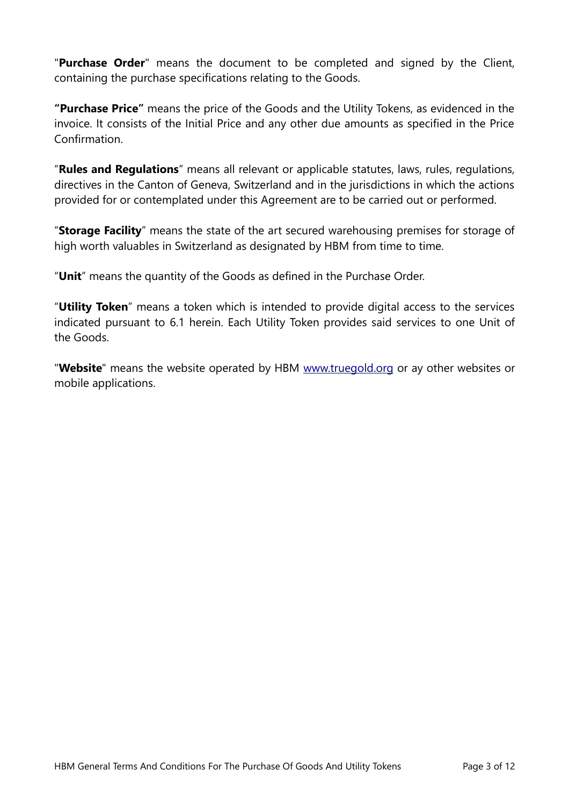"**Purchase Order**" means the document to be completed and signed by the Client, containing the purchase specifications relating to the Goods.

**"Purchase Price"** means the price of the Goods and the Utility Tokens, as evidenced in the invoice. It consists of the Initial Price and any other due amounts as specified in the Price Confirmation.

"**Rules and Regulations**" means all relevant or applicable statutes, laws, rules, regulations, directives in the Canton of Geneva, Switzerland and in the jurisdictions in which the actions provided for or contemplated under this Agreement are to be carried out or performed.

"**Storage Facility**" means the state of the art secured warehousing premises for storage of high worth valuables in Switzerland as designated by HBM from time to time.

"**Unit**" means the quantity of the Goods as defined in the Purchase Order.

"**Utility Token**" means a token which is intended to provide digital access to the services indicated pursuant to [6.1](#page-6-0) herein. Each Utility Token provides said services to one Unit of the Goods.

"**Website**" means the website operated by HBM [www.truegold.org](http://www.truegold.org/) or ay other websites or mobile applications.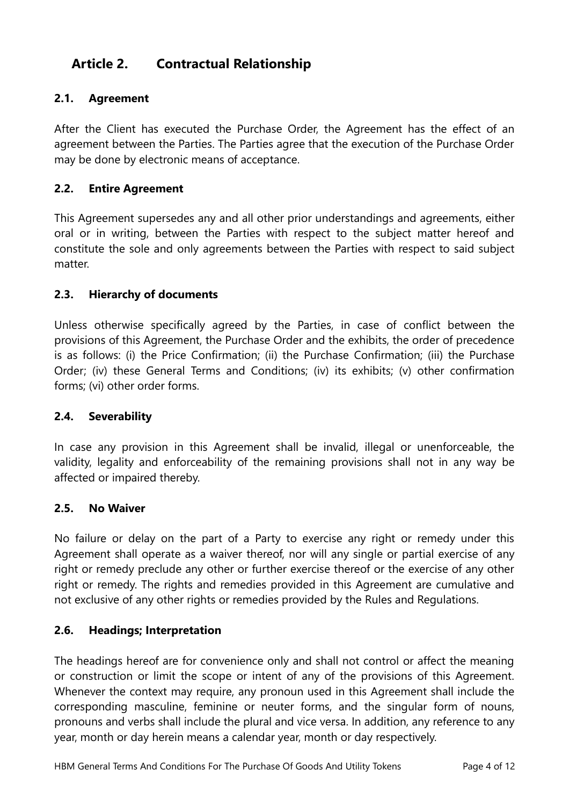# **Article 2. Contractual Relationship**

# **2.1. Agreement**

After the Client has executed the Purchase Order, the Agreement has the effect of an agreement between the Parties. The Parties agree that the execution of the Purchase Order may be done by electronic means of acceptance.

### **2.2. Entire Agreement**

This Agreement supersedes any and all other prior understandings and agreements, either oral or in writing, between the Parties with respect to the subject matter hereof and constitute the sole and only agreements between the Parties with respect to said subject matter.

### **2.3. Hierarchy of documents**

Unless otherwise specifically agreed by the Parties, in case of conflict between the provisions of this Agreement, the Purchase Order and the exhibits, the order of precedence is as follows: (i) the Price Confirmation; (ii) the Purchase Confirmation; (iii) the Purchase Order; (iv) these General Terms and Conditions; (iv) its exhibits; (v) other confirmation forms; (vi) other order forms.

### **2.4. Severability**

In case any provision in this Agreement shall be invalid, illegal or unenforceable, the validity, legality and enforceability of the remaining provisions shall not in any way be affected or impaired thereby.

### **2.5. No Waiver**

No failure or delay on the part of a Party to exercise any right or remedy under this Agreement shall operate as a waiver thereof, nor will any single or partial exercise of any right or remedy preclude any other or further exercise thereof or the exercise of any other right or remedy. The rights and remedies provided in this Agreement are cumulative and not exclusive of any other rights or remedies provided by the Rules and Regulations.

### **2.6. Headings; Interpretation**

The headings hereof are for convenience only and shall not control or affect the meaning or construction or limit the scope or intent of any of the provisions of this Agreement. Whenever the context may require, any pronoun used in this Agreement shall include the corresponding masculine, feminine or neuter forms, and the singular form of nouns, pronouns and verbs shall include the plural and vice versa. In addition, any reference to any year, month or day herein means a calendar year, month or day respectively.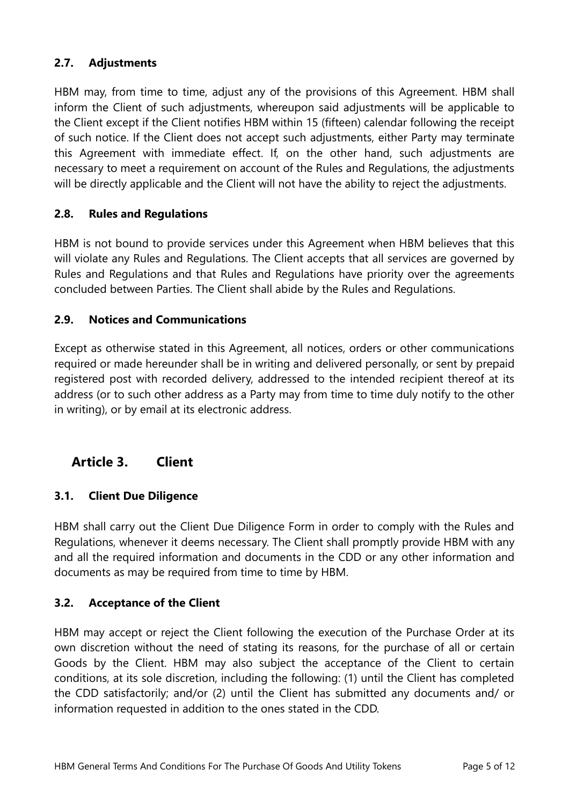### **2.7. Adjustments**

HBM may, from time to time, adjust any of the provisions of this Agreement. HBM shall inform the Client of such adjustments, whereupon said adjustments will be applicable to the Client except if the Client notifies HBM within 15 (fifteen) calendar following the receipt of such notice. If the Client does not accept such adjustments, either Party may terminate this Agreement with immediate effect. If, on the other hand, such adjustments are necessary to meet a requirement on account of the Rules and Regulations, the adjustments will be directly applicable and the Client will not have the ability to reject the adjustments.

### **2.8. Rules and Regulations**

HBM is not bound to provide services under this Agreement when HBM believes that this will violate any Rules and Regulations. The Client accepts that all services are governed by Rules and Regulations and that Rules and Regulations have priority over the agreements concluded between Parties. The Client shall abide by the Rules and Regulations.

#### **2.9. Notices and Communications**

Except as otherwise stated in this Agreement, all notices, orders or other communications required or made hereunder shall be in writing and delivered personally, or sent by prepaid registered post with recorded delivery, addressed to the intended recipient thereof at its address (or to such other address as a Party may from time to time duly notify to the other in writing), or by email at its electronic address.

# **Article 3. Client**

### **3.1. Client Due Diligence**

HBM shall carry out the Client Due Diligence Form in order to comply with the Rules and Regulations, whenever it deems necessary. The Client shall promptly provide HBM with any and all the required information and documents in the CDD or any other information and documents as may be required from time to time by HBM.

#### **3.2. Acceptance of the Client**

HBM may accept or reject the Client following the execution of the Purchase Order at its own discretion without the need of stating its reasons, for the purchase of all or certain Goods by the Client. HBM may also subject the acceptance of the Client to certain conditions, at its sole discretion, including the following: (1) until the Client has completed the CDD satisfactorily; and/or (2) until the Client has submitted any documents and/ or information requested in addition to the ones stated in the CDD.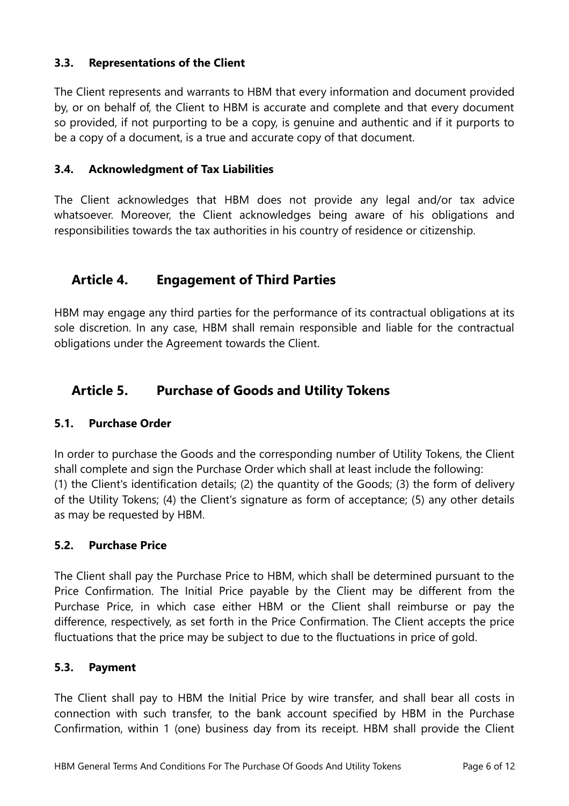### **3.3. Representations of the Client**

The Client represents and warrants to HBM that every information and document provided by, or on behalf of, the Client to HBM is accurate and complete and that every document so provided, if not purporting to be a copy, is genuine and authentic and if it purports to be a copy of a document, is a true and accurate copy of that document.

### **3.4. Acknowledgment of Tax Liabilities**

The Client acknowledges that HBM does not provide any legal and/or tax advice whatsoever. Moreover, the Client acknowledges being aware of his obligations and responsibilities towards the tax authorities in his country of residence or citizenship.

# **Article 4. Engagement of Third Parties**

HBM may engage any third parties for the performance of its contractual obligations at its sole discretion. In any case, HBM shall remain responsible and liable for the contractual obligations under the Agreement towards the Client.

# **Article 5. Purchase of Goods and Utility Tokens**

### **5.1. Purchase Order**

In order to purchase the Goods and the corresponding number of Utility Tokens, the Client shall complete and sign the Purchase Order which shall at least include the following: (1) the Client's identification details; (2) the quantity of the Goods; (3) the form of delivery of the Utility Tokens; (4) the Client's signature as form of acceptance; (5) any other details as may be requested by HBM.

### **5.2. Purchase Price**

The Client shall pay the Purchase Price to HBM, which shall be determined pursuant to the Price Confirmation. The Initial Price payable by the Client may be different from the Purchase Price, in which case either HBM or the Client shall reimburse or pay the difference, respectively, as set forth in the Price Confirmation. The Client accepts the price fluctuations that the price may be subject to due to the fluctuations in price of gold.

### **5.3. Payment**

The Client shall pay to HBM the Initial Price by wire transfer, and shall bear all costs in connection with such transfer, to the bank account specified by HBM in the Purchase Confirmation, within 1 (one) business day from its receipt. HBM shall provide the Client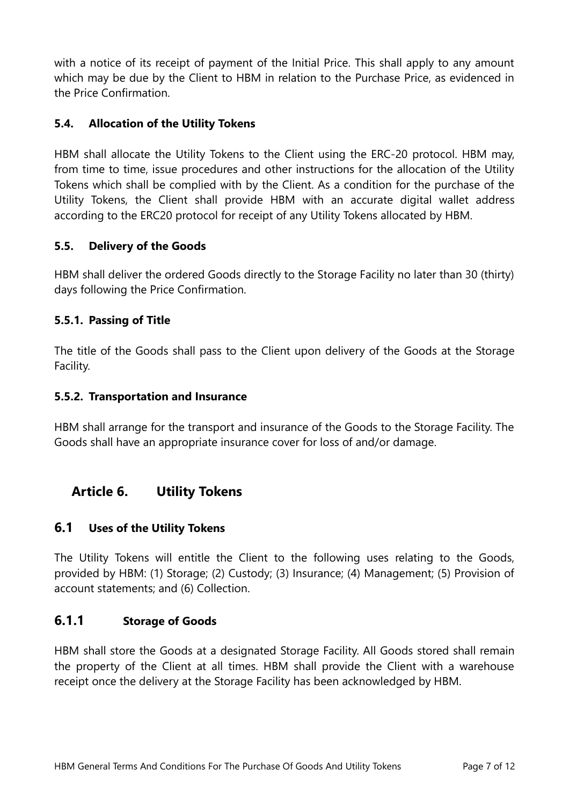with a notice of its receipt of payment of the Initial Price. This shall apply to any amount which may be due by the Client to HBM in relation to the Purchase Price, as evidenced in the Price Confirmation.

### **5.4. Allocation of the Utility Tokens**

HBM shall allocate the Utility Tokens to the Client using the ERC-20 protocol. HBM may, from time to time, issue procedures and other instructions for the allocation of the Utility Tokens which shall be complied with by the Client. As a condition for the purchase of the Utility Tokens, the Client shall provide HBM with an accurate digital wallet address according to the ERC20 protocol for receipt of any Utility Tokens allocated by HBM.

### **5.5. Delivery of the Goods**

HBM shall deliver the ordered Goods directly to the Storage Facility no later than 30 (thirty) days following the Price Confirmation.

### **5.5.1. Passing of Title**

The title of the Goods shall pass to the Client upon delivery of the Goods at the Storage Facility.

### **5.5.2. Transportation and Insurance**

HBM shall arrange for the transport and insurance of the Goods to the Storage Facility. The Goods shall have an appropriate insurance cover for loss of and/or damage.

# **Article 6. Utility Tokens**

# <span id="page-6-0"></span>**6.1 Uses of the Utility Tokens**

The Utility Tokens will entitle the Client to the following uses relating to the Goods, provided by HBM: (1) Storage; (2) Custody; (3) Insurance; (4) Management; (5) Provision of account statements; and (6) Collection.

# **6.1.1 Storage of Goods**

HBM shall store the Goods at a designated Storage Facility. All Goods stored shall remain the property of the Client at all times. HBM shall provide the Client with a warehouse receipt once the delivery at the Storage Facility has been acknowledged by HBM.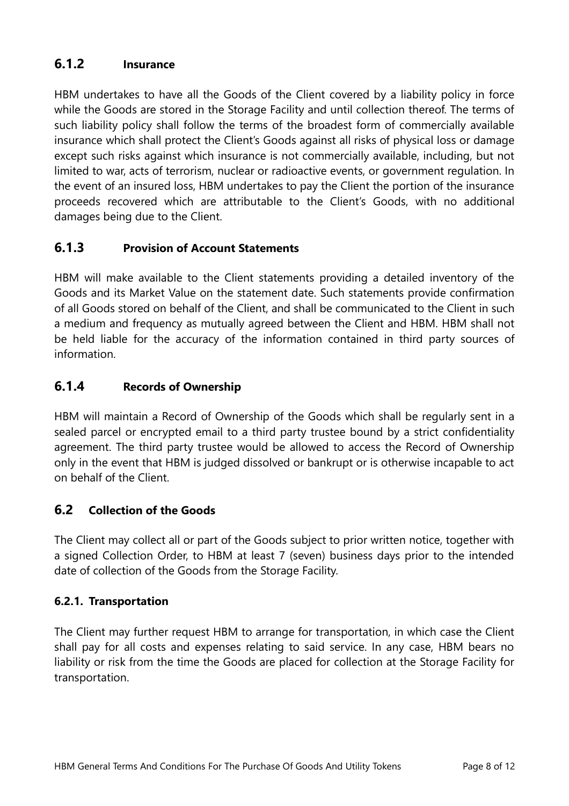# **6.1.2 Insurance**

HBM undertakes to have all the Goods of the Client covered by a liability policy in force while the Goods are stored in the Storage Facility and until collection thereof. The terms of such liability policy shall follow the terms of the broadest form of commercially available insurance which shall protect the Client's Goods against all risks of physical loss or damage except such risks against which insurance is not commercially available, including, but not limited to war, acts of terrorism, nuclear or radioactive events, or government regulation. In the event of an insured loss, HBM undertakes to pay the Client the portion of the insurance proceeds recovered which are attributable to the Client's Goods, with no additional damages being due to the Client.

# **6.1.3 Provision of Account Statements**

HBM will make available to the Client statements providing a detailed inventory of the Goods and its Market Value on the statement date. Such statements provide confirmation of all Goods stored on behalf of the Client, and shall be communicated to the Client in such a medium and frequency as mutually agreed between the Client and HBM. HBM shall not be held liable for the accuracy of the information contained in third party sources of information.

# **6.1.4 Records of Ownership**

HBM will maintain a Record of Ownership of the Goods which shall be regularly sent in a sealed parcel or encrypted email to a third party trustee bound by a strict confidentiality agreement. The third party trustee would be allowed to access the Record of Ownership only in the event that HBM is judged dissolved or bankrupt or is otherwise incapable to act on behalf of the Client.

# **6.2 Collection of the Goods**

The Client may collect all or part of the Goods subject to prior written notice, together with a signed Collection Order, to HBM at least 7 (seven) business days prior to the intended date of collection of the Goods from the Storage Facility.

# **6.2.1. Transportation**

The Client may further request HBM to arrange for transportation, in which case the Client shall pay for all costs and expenses relating to said service. In any case, HBM bears no liability or risk from the time the Goods are placed for collection at the Storage Facility for transportation.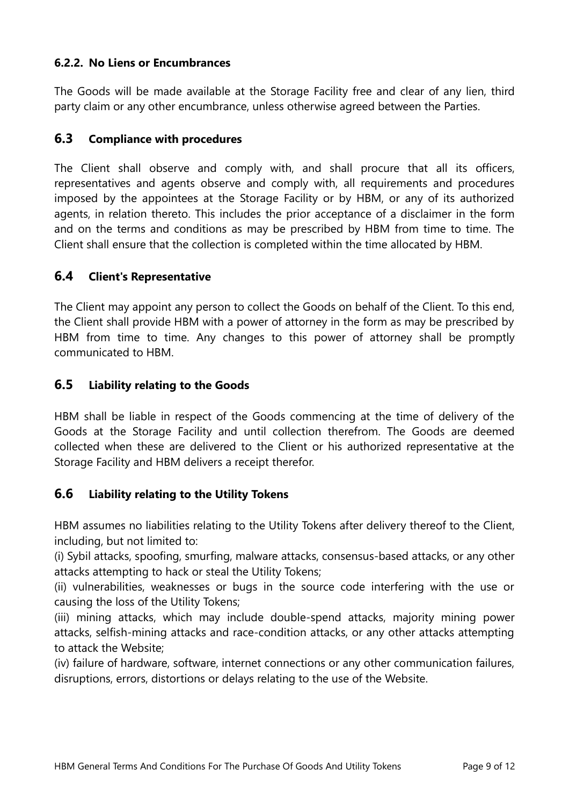### **6.2.2. No Liens or Encumbrances**

The Goods will be made available at the Storage Facility free and clear of any lien, third party claim or any other encumbrance, unless otherwise agreed between the Parties.

### **6.3 Compliance with procedures**

The Client shall observe and comply with, and shall procure that all its officers, representatives and agents observe and comply with, all requirements and procedures imposed by the appointees at the Storage Facility or by HBM, or any of its authorized agents, in relation thereto. This includes the prior acceptance of a disclaimer in the form and on the terms and conditions as may be prescribed by HBM from time to time. The Client shall ensure that the collection is completed within the time allocated by HBM.

### **6.4 Client's Representative**

The Client may appoint any person to collect the Goods on behalf of the Client. To this end, the Client shall provide HBM with a power of attorney in the form as may be prescribed by HBM from time to time. Any changes to this power of attorney shall be promptly communicated to HBM.

### **6.5 Liability relating to the Goods**

HBM shall be liable in respect of the Goods commencing at the time of delivery of the Goods at the Storage Facility and until collection therefrom. The Goods are deemed collected when these are delivered to the Client or his authorized representative at the Storage Facility and HBM delivers a receipt therefor.

### **6.6 Liability relating to the Utility Tokens**

HBM assumes no liabilities relating to the Utility Tokens after delivery thereof to the Client, including, but not limited to:

(i) Sybil attacks, spoofing, smurfing, malware attacks, consensus-based attacks, or any other attacks attempting to hack or steal the Utility Tokens;

(ii) vulnerabilities, weaknesses or bugs in the source code interfering with the use or causing the loss of the Utility Tokens;

(iii) mining attacks, which may include double-spend attacks, majority mining power attacks, selfish-mining attacks and race-condition attacks, or any other attacks attempting to attack the Website;

(iv) failure of hardware, software, internet connections or any other communication failures, disruptions, errors, distortions or delays relating to the use of the Website.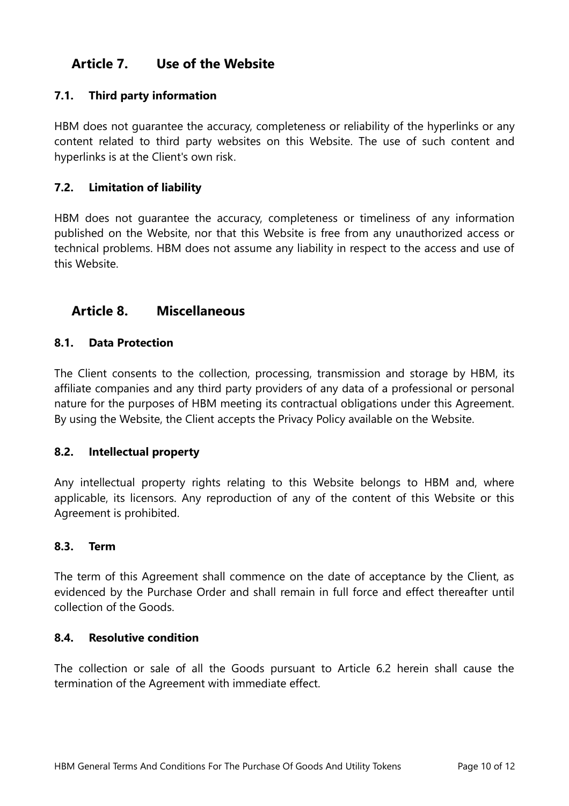# **Article 7. Use of the Website**

### **7.1. Third party information**

HBM does not guarantee the accuracy, completeness or reliability of the hyperlinks or any content related to third party websites on this Website. The use of such content and hyperlinks is at the Client's own risk.

### **7.2. Limitation of liability**

HBM does not guarantee the accuracy, completeness or timeliness of any information published on the Website, nor that this Website is free from any unauthorized access or technical problems. HBM does not assume any liability in respect to the access and use of this Website.

# **Article 8. Miscellaneous**

### **8.1. Data Protection**

The Client consents to the collection, processing, transmission and storage by HBM, its affiliate companies and any third party providers of any data of a professional or personal nature for the purposes of HBM meeting its contractual obligations under this Agreement. By using the Website, the Client accepts the Privacy Policy available on the Website.

### **8.2. Intellectual property**

Any intellectual property rights relating to this Website belongs to HBM and, where applicable, its licensors. Any reproduction of any of the content of this Website or this Agreement is prohibited.

### **8.3. Term**

The term of this Agreement shall commence on the date of acceptance by the Client, as evidenced by the Purchase Order and shall remain in full force and effect thereafter until collection of the Goods.

#### **8.4. Resolutive condition**

The collection or sale of all the Goods pursuant to Article 6.2 herein shall cause the termination of the Agreement with immediate effect.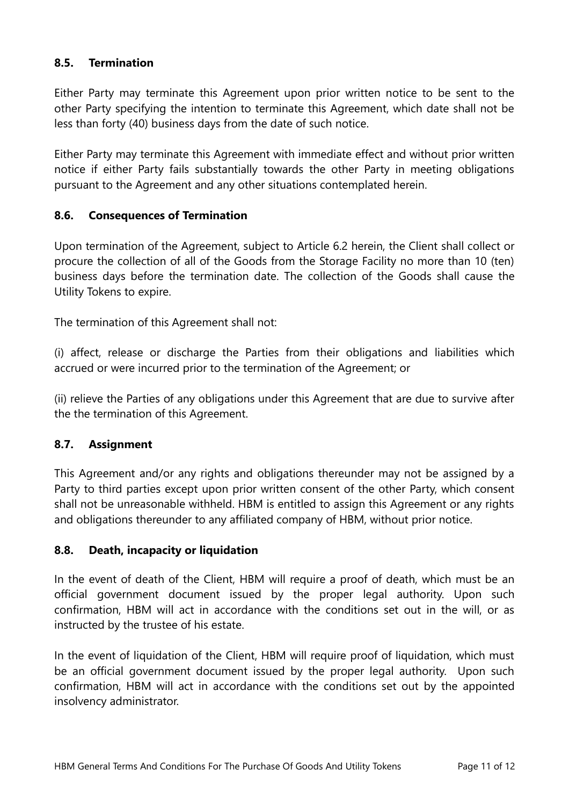### **8.5. Termination**

Either Party may terminate this Agreement upon prior written notice to be sent to the other Party specifying the intention to terminate this Agreement, which date shall not be less than forty (40) business days from the date of such notice.

Either Party may terminate this Agreement with immediate effect and without prior written notice if either Party fails substantially towards the other Party in meeting obligations pursuant to the Agreement and any other situations contemplated herein.

### **8.6. Consequences of Termination**

Upon termination of the Agreement, subject to Article 6.2 herein, the Client shall collect or procure the collection of all of the Goods from the Storage Facility no more than 10 (ten) business days before the termination date. The collection of the Goods shall cause the Utility Tokens to expire.

The termination of this Agreement shall not:

(i) affect, release or discharge the Parties from their obligations and liabilities which accrued or were incurred prior to the termination of the Agreement; or

(ii) relieve the Parties of any obligations under this Agreement that are due to survive after the the termination of this Agreement.

### **8.7. Assignment**

This Agreement and/or any rights and obligations thereunder may not be assigned by a Party to third parties except upon prior written consent of the other Party, which consent shall not be unreasonable withheld. HBM is entitled to assign this Agreement or any rights and obligations thereunder to any affiliated company of HBM, without prior notice.

### **8.8. Death, incapacity or liquidation**

In the event of death of the Client, HBM will require a proof of death, which must be an official government document issued by the proper legal authority. Upon such confirmation, HBM will act in accordance with the conditions set out in the will, or as instructed by the trustee of his estate.

In the event of liquidation of the Client, HBM will require proof of liquidation, which must be an official government document issued by the proper legal authority. Upon such confirmation, HBM will act in accordance with the conditions set out by the appointed insolvency administrator.